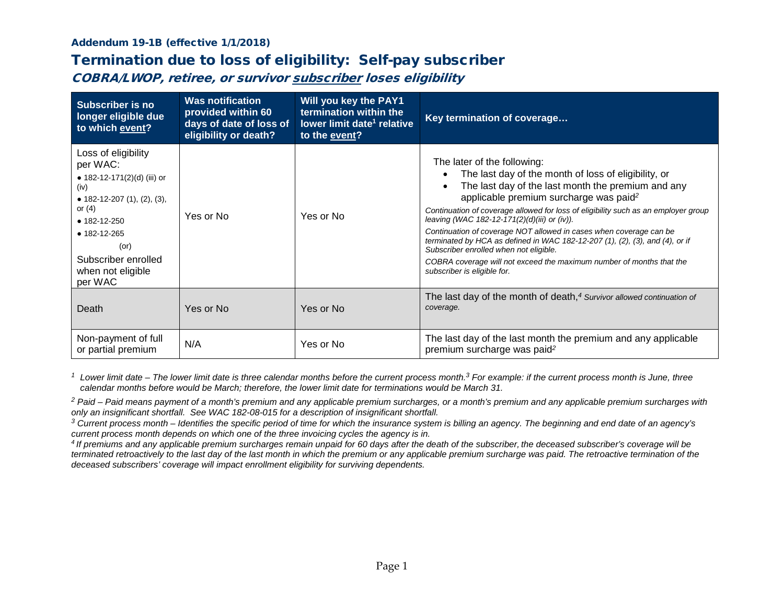## Addendum 19-1B (effective 1/1/2018)

## Termination due to loss of eligibility: Self-pay subscriber

COBRA/LWOP, retiree, or survivor subscriber loses eligibility

| <b>Subscriber is no</b><br>longer eligible due<br>to which event?                                                                                                                                                                     | <b>Was notification</b><br>provided within 60<br>days of date of loss of<br>eligibility or death? | Will you key the PAY1<br>termination within the<br>lower limit date <sup>1</sup> relative<br>to the event? | Key termination of coverage                                                                                                                                                                                                                                                                                                                                                                                                                                                                                                                                                                                                                               |
|---------------------------------------------------------------------------------------------------------------------------------------------------------------------------------------------------------------------------------------|---------------------------------------------------------------------------------------------------|------------------------------------------------------------------------------------------------------------|-----------------------------------------------------------------------------------------------------------------------------------------------------------------------------------------------------------------------------------------------------------------------------------------------------------------------------------------------------------------------------------------------------------------------------------------------------------------------------------------------------------------------------------------------------------------------------------------------------------------------------------------------------------|
| Loss of eligibility<br>per WAC:<br>• 182-12-171(2)(d) (iii) or<br>(iv)<br>• 182-12-207 $(1)$ , $(2)$ , $(3)$ ,<br>or $(4)$<br>$• 182 - 12 - 250$<br>• 182-12-265<br>$($ or $)$<br>Subscriber enrolled<br>when not eligible<br>per WAC | Yes or No                                                                                         | Yes or No                                                                                                  | The later of the following:<br>The last day of the month of loss of eligibility, or<br>The last day of the last month the premium and any<br>$\bullet$<br>applicable premium surcharge was paid <sup>2</sup><br>Continuation of coverage allowed for loss of eligibility such as an employer group<br>leaving (WAC 182-12-171(2)(d)(iii) or (iv)).<br>Continuation of coverage NOT allowed in cases when coverage can be<br>terminated by HCA as defined in WAC 182-12-207 (1), (2), (3), and (4), or if<br>Subscriber enrolled when not eligible.<br>COBRA coverage will not exceed the maximum number of months that the<br>subscriber is eligible for. |
| Death                                                                                                                                                                                                                                 | Yes or No                                                                                         | Yes or No                                                                                                  | The last day of the month of death, <sup>4</sup> Survivor allowed continuation of<br>coverage.                                                                                                                                                                                                                                                                                                                                                                                                                                                                                                                                                            |
| Non-payment of full<br>or partial premium                                                                                                                                                                                             | N/A                                                                                               | Yes or No                                                                                                  | The last day of the last month the premium and any applicable<br>premium surcharge was paid <sup>2</sup>                                                                                                                                                                                                                                                                                                                                                                                                                                                                                                                                                  |

*<sup>1</sup> Lower limit date – The lower limit date is three calendar months before the current process month. <sup>3</sup> For example: if the current process month is June, three calendar months before would be March; therefore, the lower limit date for terminations would be March 31.*

*<sup>2</sup> Paid – Paid means payment of a month's premium and any applicable premium surcharges, or a month's premium and any applicable premium surcharges with only an insignificant shortfall. See WAC 182-08-015 for a description of insignificant shortfall.*

*<sup>3</sup> Current process month – Identifies the specific period of time for which the insurance system is billing an agency. The beginning and end date of an agency's current process month depends on which one of the three invoicing cycles the agency is in.*

*4 If premiums and any applicable premium surcharges remain unpaid for 60 days after the death of the subscriber, the deceased subscriber's coverage will be terminated retroactively to the last day of the last month in which the premium or any applicable premium surcharge was paid. The retroactive termination of the deceased subscribers' coverage will impact enrollment eligibility for surviving dependents.*